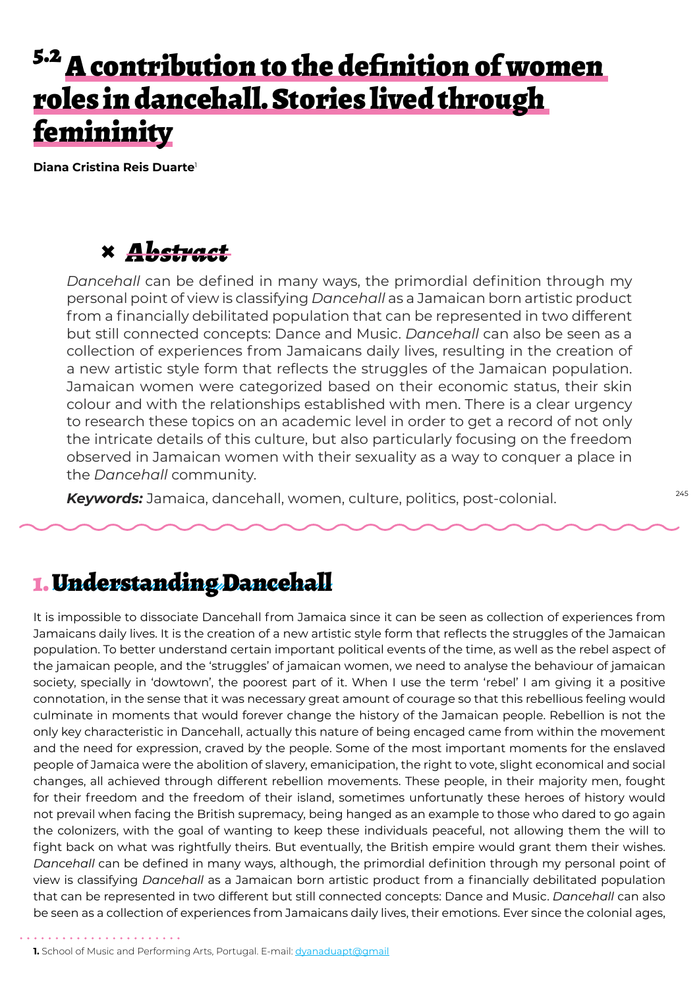# <sup>5.2</sup> A contribution to the definition of women roles in dancehall. Stories lived through femininity

**Diana Cristina Reis Duarte**<sup>1</sup>

### **×** *Abstract*

*Dancehall* can be defined in many ways, the primordial definition through my personal point of view is classifying *Dancehall* as a Jamaican born artistic product from a financially debilitated population that can be represented in two different but still connected concepts: Dance and Music. *Dancehall* can also be seen as a collection of experiences from Jamaicans daily lives, resulting in the creation of a new artistic style form that reflects the struggles of the Jamaican population. Jamaican women were categorized based on their economic status, their skin colour and with the relationships established with men. There is a clear urgency to research these topics on an academic level in order to get a record of not only the intricate details of this culture, but also particularly focusing on the freedom observed in Jamaican women with their sexuality as a way to conquer a place in the *Dancehall* community.

*Keywords:* Jamaica, dancehall, women, culture, politics, post-colonial.

### 1. Understanding Dancehall

It is impossible to dissociate Dancehall from Jamaica since it can be seen as collection of experiences from Jamaicans daily lives. It is the creation of a new artistic style form that reflects the struggles of the Jamaican population. To better understand certain important political events of the time, as well as the rebel aspect of the jamaican people, and the 'struggles' of jamaican women, we need to analyse the behaviour of jamaican society, specially in 'dowtown', the poorest part of it. When I use the term 'rebel' I am giving it a positive connotation, in the sense that it was necessary great amount of courage so that this rebellious feeling would culminate in moments that would forever change the history of the Jamaican people. Rebellion is not the only key characteristic in Dancehall, actually this nature of being encaged came from within the movement and the need for expression, craved by the people. Some of the most important moments for the enslaved people of Jamaica were the abolition of slavery, emanicipation, the right to vote, slight economical and social changes, all achieved through different rebellion movements. These people, in their majority men, fought for their freedom and the freedom of their island, sometimes unfortunatly these heroes of history would not prevail when facing the British supremacy, being hanged as an example to those who dared to go again the colonizers, with the goal of wanting to keep these individuals peaceful, not allowing them the will to fight back on what was rightfully theirs. But eventually, the British empire would grant them their wishes. *Dancehall* can be defined in many ways, although, the primordial definition through my personal point of view is classifying *Dancehall* as a Jamaican born artistic product from a financially debilitated population that can be represented in two different but still connected concepts: Dance and Music. *Dancehall* can also be seen as a collection of experiences from Jamaicans daily lives, their emotions. Ever since the colonial ages,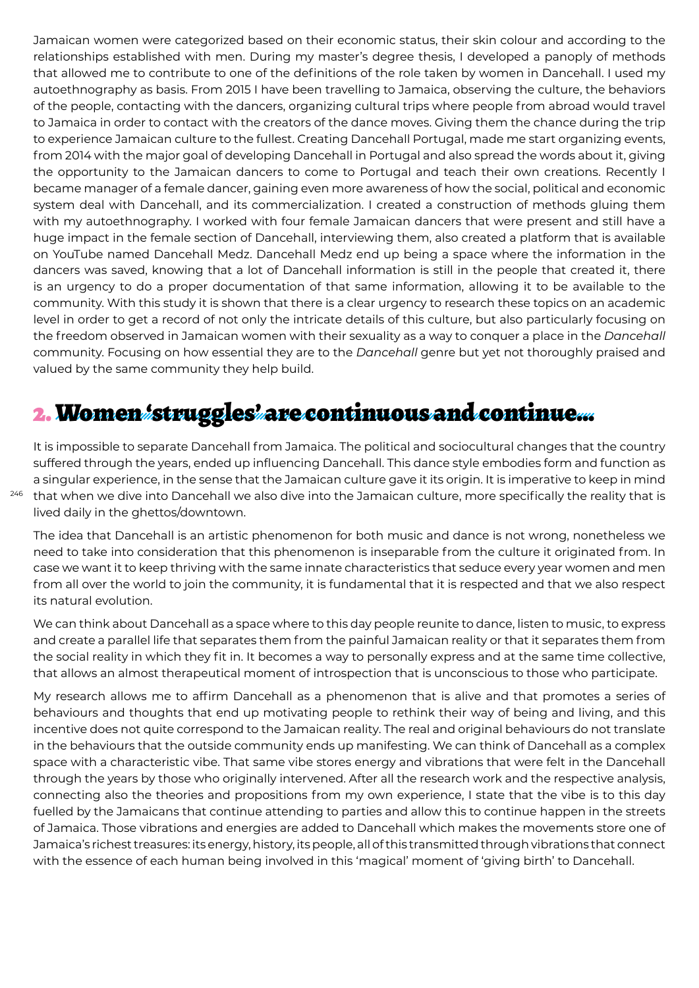Jamaican women were categorized based on their economic status, their skin colour and according to the relationships established with men. During my master's degree thesis, I developed a panoply of methods that allowed me to contribute to one of the definitions of the role taken by women in Dancehall. I used my autoethnography as basis. From 2015 I have been travelling to Jamaica, observing the culture, the behaviors of the people, contacting with the dancers, organizing cultural trips where people from abroad would travel to Jamaica in order to contact with the creators of the dance moves. Giving them the chance during the trip to experience Jamaican culture to the fullest. Creating Dancehall Portugal, made me start organizing events, from 2014 with the major goal of developing Dancehall in Portugal and also spread the words about it, giving the opportunity to the Jamaican dancers to come to Portugal and teach their own creations. Recently I became manager of a female dancer, gaining even more awareness of how the social, political and economic system deal with Dancehall, and its commercialization. I created a construction of methods gluing them with my autoethnography. I worked with four female Jamaican dancers that were present and still have a huge impact in the female section of Dancehall, interviewing them, also created a platform that is available on YouTube named Dancehall Medz. Dancehall Medz end up being a space where the information in the dancers was saved, knowing that a lot of Dancehall information is still in the people that created it, there is an urgency to do a proper documentation of that same information, allowing it to be available to the community. With this study it is shown that there is a clear urgency to research these topics on an academic level in order to get a record of not only the intricate details of this culture, but also particularly focusing on the freedom observed in Jamaican women with their sexuality as a way to conquer a place in the *Dancehall* community. Focusing on how essential they are to the *Dancehall* genre but yet not thoroughly praised and valued by the same community they help build.

## 2. Women 'struggles' are continuous and continue…

246 that when we dive into Dancehall we also dive into the Jamaican culture, more specifically the reality that is It is impossible to separate Dancehall from Jamaica. The political and sociocultural changes that the country suffered through the years, ended up influencing Dancehall. This dance style embodies form and function as a singular experience, in the sense that the Jamaican culture gave it its origin. It is imperative to keep in mind lived daily in the ghettos/downtown.

The idea that Dancehall is an artistic phenomenon for both music and dance is not wrong, nonetheless we need to take into consideration that this phenomenon is inseparable from the culture it originated from. In case we want it to keep thriving with the same innate characteristics that seduce every year women and men from all over the world to join the community, it is fundamental that it is respected and that we also respect its natural evolution.

We can think about Dancehall as a space where to this day people reunite to dance, listen to music, to express and create a parallel life that separates them from the painful Jamaican reality or that it separates them from the social reality in which they fit in. It becomes a way to personally express and at the same time collective, that allows an almost therapeutical moment of introspection that is unconscious to those who participate.

My research allows me to affirm Dancehall as a phenomenon that is alive and that promotes a series of behaviours and thoughts that end up motivating people to rethink their way of being and living, and this incentive does not quite correspond to the Jamaican reality. The real and original behaviours do not translate in the behaviours that the outside community ends up manifesting. We can think of Dancehall as a complex space with a characteristic vibe. That same vibe stores energy and vibrations that were felt in the Dancehall through the years by those who originally intervened. After all the research work and the respective analysis, connecting also the theories and propositions from my own experience, I state that the vibe is to this day fuelled by the Jamaicans that continue attending to parties and allow this to continue happen in the streets of Jamaica. Those vibrations and energies are added to Dancehall which makes the movements store one of Jamaica's richest treasures: its energy, history, its people, all of this transmitted through vibrations that connect with the essence of each human being involved in this 'magical' moment of 'giving birth' to Dancehall.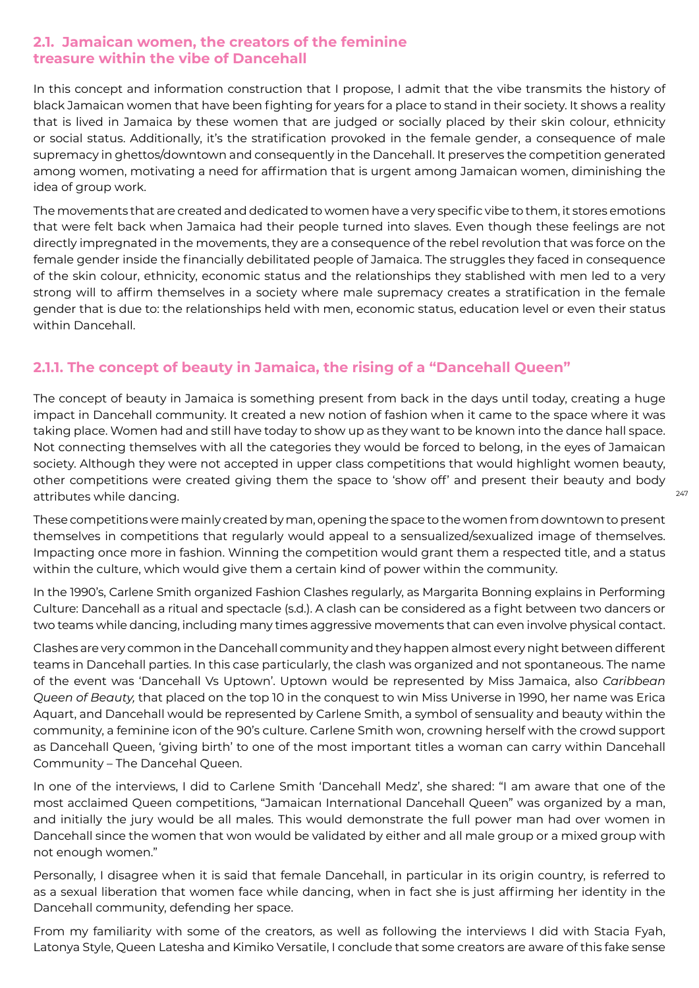#### **2.1. Jamaican women, the creators of the feminine treasure within the vibe of Dancehall**

In this concept and information construction that I propose, I admit that the vibe transmits the history of black Jamaican women that have been fighting for years for a place to stand in their society. It shows a reality that is lived in Jamaica by these women that are judged or socially placed by their skin colour, ethnicity or social status. Additionally, it's the stratification provoked in the female gender, a consequence of male supremacy in ghettos/downtown and consequently in the Dancehall. It preserves the competition generated among women, motivating a need for affirmation that is urgent among Jamaican women, diminishing the idea of group work.

The movements that are created and dedicated to women have a very specific vibe to them, it stores emotions that were felt back when Jamaica had their people turned into slaves. Even though these feelings are not directly impregnated in the movements, they are a consequence of the rebel revolution that was force on the female gender inside the financially debilitated people of Jamaica. The struggles they faced in consequence of the skin colour, ethnicity, economic status and the relationships they stablished with men led to a very strong will to affirm themselves in a society where male supremacy creates a stratification in the female gender that is due to: the relationships held with men, economic status, education level or even their status within Dancehall.

### **2.1.1. The concept of beauty in Jamaica, the rising of a "Dancehall Queen"**

The concept of beauty in Jamaica is something present from back in the days until today, creating a huge impact in Dancehall community. It created a new notion of fashion when it came to the space where it was taking place. Women had and still have today to show up as they want to be known into the dance hall space. Not connecting themselves with all the categories they would be forced to belong, in the eyes of Jamaican society. Although they were not accepted in upper class competitions that would highlight women beauty, other competitions were created giving them the space to 'show off' and present their beauty and body attributes while dancing.

These competitions were mainly created by man, opening the space to the women from downtown to present themselves in competitions that regularly would appeal to a sensualized/sexualized image of themselves. Impacting once more in fashion. Winning the competition would grant them a respected title, and a status within the culture, which would give them a certain kind of power within the community.

In the 1990's, Carlene Smith organized Fashion Clashes regularly, as Margarita Bonning explains in Performing Culture: Dancehall as a ritual and spectacle (s.d.). A clash can be considered as a fight between two dancers or two teams while dancing, including many times aggressive movements that can even involve physical contact.

Clashes are very common in the Dancehall community and they happen almost every night between different teams in Dancehall parties. In this case particularly, the clash was organized and not spontaneous. The name of the event was 'Dancehall Vs Uptown'. Uptown would be represented by Miss Jamaica, also *Caribbean Queen of Beauty,* that placed on the top 10 in the conquest to win Miss Universe in 1990, her name was Erica Aquart, and Dancehall would be represented by Carlene Smith, a symbol of sensuality and beauty within the community, a feminine icon of the 90's culture. Carlene Smith won, crowning herself with the crowd support as Dancehall Queen, 'giving birth' to one of the most important titles a woman can carry within Dancehall Community – The Dancehal Queen.

In one of the interviews, I did to Carlene Smith 'Dancehall Medz', she shared: "I am aware that one of the most acclaimed Queen competitions, "Jamaican International Dancehall Queen" was organized by a man, and initially the jury would be all males. This would demonstrate the full power man had over women in Dancehall since the women that won would be validated by either and all male group or a mixed group with not enough women."

Personally, I disagree when it is said that female Dancehall, in particular in its origin country, is referred to as a sexual liberation that women face while dancing, when in fact she is just affirming her identity in the Dancehall community, defending her space.

From my familiarity with some of the creators, as well as following the interviews I did with Stacia Fyah, Latonya Style, Queen Latesha and Kimiko Versatile, I conclude that some creators are aware of this fake sense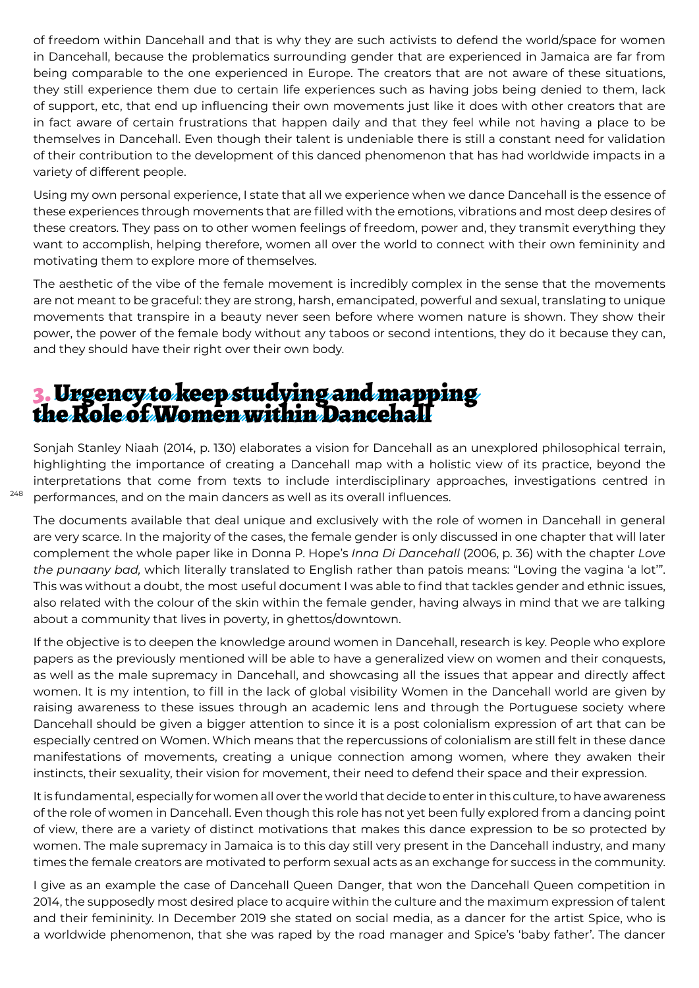of freedom within Dancehall and that is why they are such activists to defend the world/space for women in Dancehall, because the problematics surrounding gender that are experienced in Jamaica are far from being comparable to the one experienced in Europe. The creators that are not aware of these situations, they still experience them due to certain life experiences such as having jobs being denied to them, lack of support, etc, that end up influencing their own movements just like it does with other creators that are in fact aware of certain frustrations that happen daily and that they feel while not having a place to be themselves in Dancehall. Even though their talent is undeniable there is still a constant need for validation of their contribution to the development of this danced phenomenon that has had worldwide impacts in a variety of different people.

Using my own personal experience, I state that all we experience when we dance Dancehall is the essence of these experiences through movements that are filled with the emotions, vibrations and most deep desires of these creators. They pass on to other women feelings of freedom, power and, they transmit everything they want to accomplish, helping therefore, women all over the world to connect with their own femininity and motivating them to explore more of themselves.

The aesthetic of the vibe of the female movement is incredibly complex in the sense that the movements are not meant to be graceful: they are strong, harsh, emancipated, powerful and sexual, translating to unique movements that transpire in a beauty never seen before where women nature is shown. They show their power, the power of the female body without any taboos or second intentions, they do it because they can, and they should have their right over their own body.

### 3. Urgency to keep studying and mapping the Role of Women within Dancehall

Sonjah Stanley Niaah (2014, p. 130) elaborates a vision for Dancehall as an unexplored philosophical terrain, highlighting the importance of creating a Dancehall map with a holistic view of its practice, beyond the interpretations that come from texts to include interdisciplinary approaches, investigations centred in performances, and on the main dancers as well as its overall influences.

The documents available that deal unique and exclusively with the role of women in Dancehall in general are very scarce. In the majority of the cases, the female gender is only discussed in one chapter that will later complement the whole paper like in Donna P. Hope's *Inna Di Dancehall* (2006, p. 36) with the chapter *Love the punaany bad,* which literally translated to English rather than patois means: "Loving the vagina 'a lot'". This was without a doubt, the most useful document I was able to find that tackles gender and ethnic issues, also related with the colour of the skin within the female gender, having always in mind that we are talking about a community that lives in poverty, in ghettos/downtown.

If the objective is to deepen the knowledge around women in Dancehall, research is key. People who explore papers as the previously mentioned will be able to have a generalized view on women and their conquests, as well as the male supremacy in Dancehall, and showcasing all the issues that appear and directly affect women. It is my intention, to fill in the lack of global visibility Women in the Dancehall world are given by raising awareness to these issues through an academic lens and through the Portuguese society where Dancehall should be given a bigger attention to since it is a post colonialism expression of art that can be especially centred on Women. Which means that the repercussions of colonialism are still felt in these dance manifestations of movements, creating a unique connection among women, where they awaken their instincts, their sexuality, their vision for movement, their need to defend their space and their expression.

It is fundamental, especially for women all over the world that decide to enter in this culture, to have awareness of the role of women in Dancehall. Even though this role has not yet been fully explored from a dancing point of view, there are a variety of distinct motivations that makes this dance expression to be so protected by women. The male supremacy in Jamaica is to this day still very present in the Dancehall industry, and many times the female creators are motivated to perform sexual acts as an exchange for success in the community.

I give as an example the case of Dancehall Queen Danger, that won the Dancehall Queen competition in 2014, the supposedly most desired place to acquire within the culture and the maximum expression of talent and their femininity. In December 2019 she stated on social media, as a dancer for the artist Spice, who is a worldwide phenomenon, that she was raped by the road manager and Spice's 'baby father'. The dancer